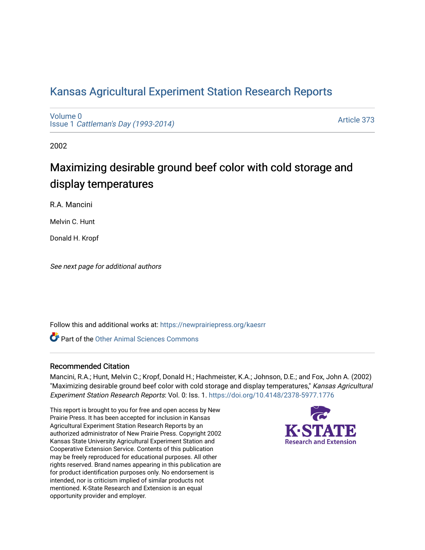## [Kansas Agricultural Experiment Station Research Reports](https://newprairiepress.org/kaesrr)

[Volume 0](https://newprairiepress.org/kaesrr/vol0) Issue 1 [Cattleman's Day \(1993-2014\)](https://newprairiepress.org/kaesrr/vol0/iss1) 

[Article 373](https://newprairiepress.org/kaesrr/vol0/iss1/373) 

2002

# Maximizing desirable ground beef color with cold storage and display temperatures

R.A. Mancini

Melvin C. Hunt

Donald H. Kropf

See next page for additional authors

Follow this and additional works at: [https://newprairiepress.org/kaesrr](https://newprairiepress.org/kaesrr?utm_source=newprairiepress.org%2Fkaesrr%2Fvol0%2Fiss1%2F373&utm_medium=PDF&utm_campaign=PDFCoverPages) 

**C** Part of the [Other Animal Sciences Commons](http://network.bepress.com/hgg/discipline/82?utm_source=newprairiepress.org%2Fkaesrr%2Fvol0%2Fiss1%2F373&utm_medium=PDF&utm_campaign=PDFCoverPages)

#### Recommended Citation

Mancini, R.A.; Hunt, Melvin C.; Kropf, Donald H.; Hachmeister, K.A.; Johnson, D.E.; and Fox, John A. (2002) "Maximizing desirable ground beef color with cold storage and display temperatures," Kansas Agricultural Experiment Station Research Reports: Vol. 0: Iss. 1. <https://doi.org/10.4148/2378-5977.1776>

This report is brought to you for free and open access by New Prairie Press. It has been accepted for inclusion in Kansas Agricultural Experiment Station Research Reports by an authorized administrator of New Prairie Press. Copyright 2002 Kansas State University Agricultural Experiment Station and Cooperative Extension Service. Contents of this publication may be freely reproduced for educational purposes. All other rights reserved. Brand names appearing in this publication are for product identification purposes only. No endorsement is intended, nor is criticism implied of similar products not mentioned. K-State Research and Extension is an equal opportunity provider and employer.

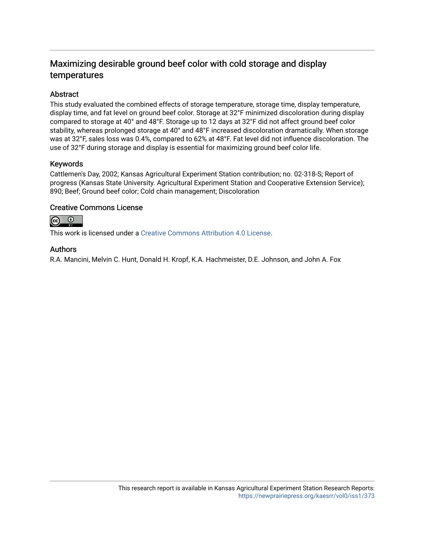### Maximizing desirable ground beef color with cold storage and display temperatures

#### **Abstract**

This study evaluated the combined effects of storage temperature, storage time, display temperature, display time, and fat level on ground beef color. Storage at 32°F minimized discoloration during display compared to storage at 40° and 48°F. Storage up to 12 days at 32°F did not affect ground beef color stability, whereas prolonged storage at 40° and 48°F increased discoloration dramatically. When storage was at 32°F, sales loss was 0.4%, compared to 62% at 48°F. Fat level did not influence discoloration. The use of 32°F during storage and display is essential for maximizing ground beef color life.

#### Keywords

Cattlemen's Day, 2002; Kansas Agricultural Experiment Station contribution; no. 02-318-S; Report of progress (Kansas State University. Agricultural Experiment Station and Cooperative Extension Service); 890; Beef; Ground beef color; Cold chain management; Discoloration

#### Creative Commons License



This work is licensed under a [Creative Commons Attribution 4.0 License](https://creativecommons.org/licenses/by/4.0/).

#### Authors

R.A. Mancini, Melvin C. Hunt, Donald H. Kropf, K.A. Hachmeister, D.E. Johnson, and John A. Fox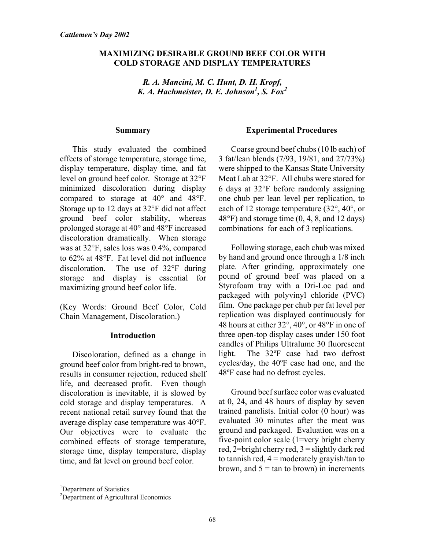#### **MAXIMIZING DESIRABLE GROUND BEEF COLOR WITH COLD STORAGE AND DISPLAY TEMPERATURES**

*R. A. Mancini, M. C. Hunt, D. H. Kropf, K. A. Hachmeister, D. E. Johnson1 , S. Fox2*

#### **Summary**

This study evaluated the combined effects of storage temperature, storage time, display temperature, display time, and fat level on ground beef color. Storage at 32°F minimized discoloration during display compared to storage at 40° and 48°F. Storage up to 12 days at 32°F did not affect ground beef color stability, whereas prolonged storage at 40° and 48°F increased discoloration dramatically. When storage was at 32°F, sales loss was 0.4%, compared to 62% at 48°F. Fat level did not influence discoloration. The use of 32°F during storage and display is essential for maximizing ground beef color life.

(Key Words: Ground Beef Color, Cold Chain Management, Discoloration.)

#### **Introduction**

Discoloration, defined as a change in ground beef color from bright-red to brown, results in consumer rejection, reduced shelf life, and decreased profit. Even though discoloration is inevitable, it is slowed by cold storage and display temperatures. A recent national retail survey found that the average display case temperature was 40°F. Our objectives were to evaluate the combined effects of storage temperature, storage time, display temperature, display time, and fat level on ground beef color.

#### **Experimental Procedures**

Coarse ground beef chubs (10 lb each) of 3 fat/lean blends (7/93, 19/81, and 27/73%) were shipped to the Kansas State University Meat Lab at 32°F. All chubs were stored for 6 days at 32°F before randomly assigning one chub per lean level per replication, to each of 12 storage temperature (32°, 40°, or 48°F) and storage time (0, 4, 8, and 12 days) combinations for each of 3 replications.

Following storage, each chub was mixed by hand and ground once through a 1/8 inch plate. After grinding, approximately one pound of ground beef was placed on a Styrofoam tray with a Dri-Loc pad and packaged with polyvinyl chloride (PVC) film. One package per chub per fat level per replication was displayed continuously for 48 hours at either 32°, 40°, or 48°F in one of three open-top display cases under 150 foot candles of Philips Ultralume 30 fluorescent light. The 32ºF case had two defrost cycles/day, the 40ºF case had one, and the 48ºF case had no defrost cycles.

Ground beef surface color was evaluated at 0, 24, and 48 hours of display by seven trained panelists. Initial color (0 hour) was evaluated 30 minutes after the meat was ground and packaged. Evaluation was on a five-point color scale (1=very bright cherry red,  $2=$ bright cherry red,  $3=$ slightly dark red to tannish red,  $4 =$  moderately gravish/tan to brown, and  $5 = \tan \theta$  brown) in increments

l

<sup>&</sup>lt;sup>1</sup>Department of Statistics

<sup>&</sup>lt;sup>2</sup>Department of Agricultural Economics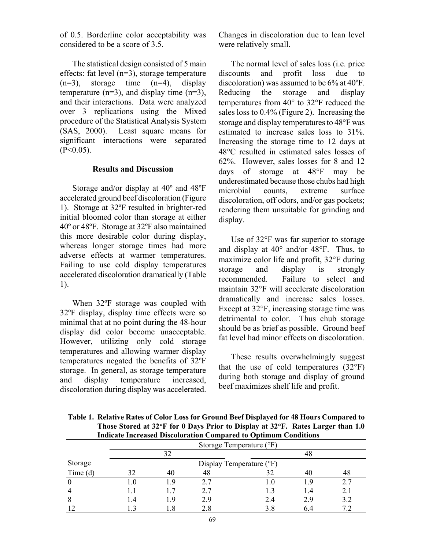of 0.5. Borderline color acceptability was considered to be a score of 3.5.

The statistical design consisted of 5 main effects: fat level (n=3), storage temperature  $(n=3)$ , storage time  $(n=4)$ , display temperature  $(n=3)$ , and display time  $(n=3)$ , and their interactions. Data were analyzed over 3 replications using the Mixed procedure of the Statistical Analysis System (SAS, 2000). Least square means for significant interactions were separated  $(P<0.05)$ .

#### **Results and Discussion**

Storage and/or display at 40º and 48ºF accelerated ground beef discoloration (Figure 1). Storage at 32ºF resulted in brighter-red initial bloomed color than storage at either 40º or 48ºF. Storage at 32ºF also maintained this more desirable color during display, whereas longer storage times had more adverse effects at warmer temperatures. Failing to use cold display temperatures accelerated discoloration dramatically (Table 1).

When 32ºF storage was coupled with 32ºF display, display time effects were so minimal that at no point during the 48-hour display did color become unacceptable. However, utilizing only cold storage temperatures and allowing warmer display temperatures negated the benefits of 32ºF storage. In general, as storage temperature and display temperature increased, discoloration during display was accelerated. Changes in discoloration due to lean level were relatively small.

The normal level of sales loss (i.e. price discounts and profit loss due to discoloration) was assumed to be 6% at 40ºF. Reducing the storage and display temperatures from 40° to 32°F reduced the sales loss to 0.4% (Figure 2). Increasing the storage and display temperatures to 48°F was estimated to increase sales loss to 31%. Increasing the storage time to 12 days at 48°C resulted in estimated sales losses of 62%. However, sales losses for 8 and 12 days of storage at 48°F may be underestimated because those chubs had high microbial counts, extreme surface discoloration, off odors, and/or gas pockets; rendering them unsuitable for grinding and display.

Use of 32°F was far superior to storage and display at 40° and/or 48°F. Thus, to maximize color life and profit, 32°F during storage and display is strongly recommended. Failure to select and maintain 32°F will accelerate discoloration dramatically and increase sales losses. Except at 32°F, increasing storage time was detrimental to color. Thus chub storage should be as brief as possible. Ground beef fat level had minor effects on discoloration.

These results overwhelmingly suggest that the use of cold temperatures  $(32^{\circ}F)$ during both storage and display of ground beef maximizes shelf life and profit.

| <b>Indicate Increased Discoloration Compared to Optimum Conditions</b> |                            |               |    |    |    |     |
|------------------------------------------------------------------------|----------------------------|---------------|----|----|----|-----|
|                                                                        | Storage Temperature (°F)   |               |    |    |    |     |
|                                                                        |                            | 32            |    |    | 48 |     |
| Storage                                                                | Display Temperature $(°F)$ |               |    |    |    |     |
| Time $(d)$                                                             |                            | 40            | 48 |    | 40 |     |
|                                                                        | l .O                       | - Q           |    |    | ്ധ |     |
|                                                                        |                            | $\frac{1}{7}$ |    |    | 14 | 2.1 |
|                                                                        | l 4                        | 19            | 29 | 24 | 29 | 3.2 |
|                                                                        |                            |               |    |    |    |     |

**Table 1. Relative Rates of Color Loss for Ground Beef Displayed for 48 Hours Compared to Those Stored at 32**°**F for 0 Days Prior to Display at 32**°**F. Rates Larger than 1.0**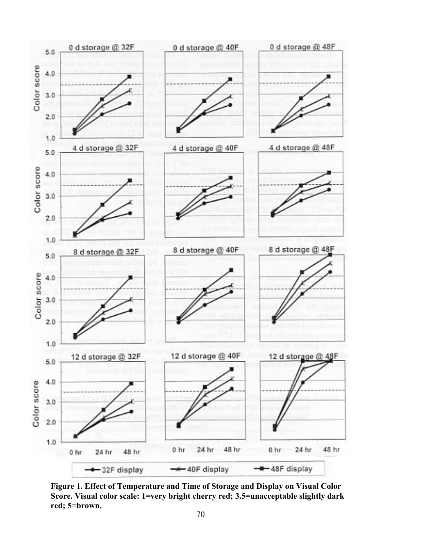

**Figure 1. Effect of Temperature and Time of Storage and Display on Visual Color Score. Visual color scale: 1=very bright cherry red; 3.5=unacceptable slightly dark red; 5=brown.**